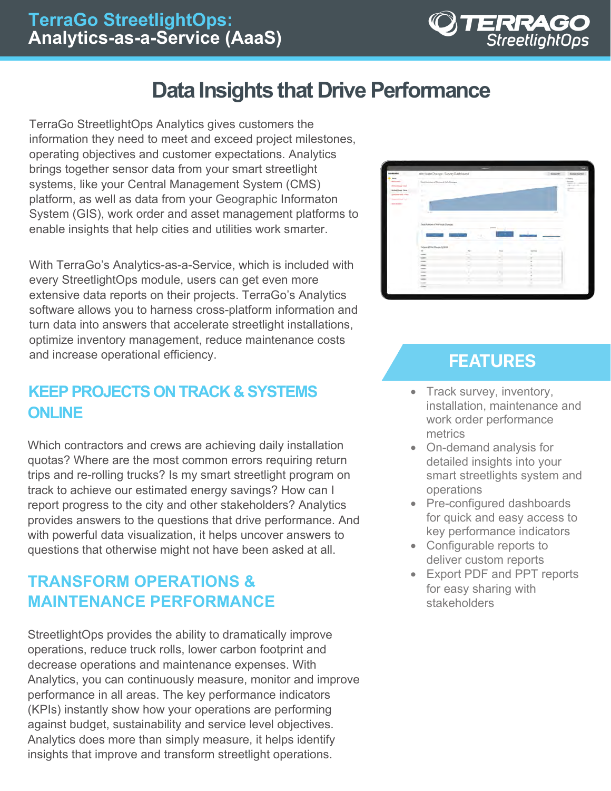

# **Data Insights that Drive Performance**

TerraGo StreetlightOps Analytics gives customers the information they need to meet and exceed project milestones, operating objectives and customer expectations. Analytics brings together sensor data from your smart streetlight systems, like your Central Management System (CMS) platform, as well as data from your Geographic Informaton System (GIS), work order and asset management platforms to enable insights that help cities and utilities work smarter.

With TerraGo's Analytics-as-a-Service, which is included with every StreetlightOps module, users can get even more extensive data reports on their projects. TerraGo's Analytics software allows you to harness cross-platform information and turn data into answers that accelerate streetlight installations, optimize inventory management, reduce maintenance costs and increase operational efficiency.

#### **KEEP PROJECTS ON TRACK & SYSTEMS ONLINE**

Which contractors and crews are achieving daily installation quotas? Where are the most common errors requiring return trips and re-rolling trucks? Is my smart streetlight program on track to achieve our estimated energy savings? How can I report progress to the city and other stakeholders? Analytics provides answers to the questions that drive performance. And with powerful data visualization, it helps uncover answers to questions that otherwise might not have been asked at all.

### **TRANSFORM OPERATIONS & MAINTENANCE PERFORMANCE**

StreetlightOps provides the ability to dramatically improve operations, reduce truck rolls, lower carbon footprint and decrease operations and maintenance expenses. With Analytics, you can continuously measure, monitor and improve performance in all areas. The key performance indicators (KPIs) instantly show how your operations are performing against budget, sustainability and service level objectives. Analytics does more than simply measure, it helps identify insights that improve and transform streetlight operations.



# **FEATURES**

- Track survey, inventory, installation, maintenance and work order performance metrics
- On-demand analysis for detailed insights into your smart streetlights system and operations
- Pre-configured dashboards for quick and easy access to key performance indicators
- Configurable reports to deliver custom reports
- Export PDF and PPT reports for easy sharing with stakeholders